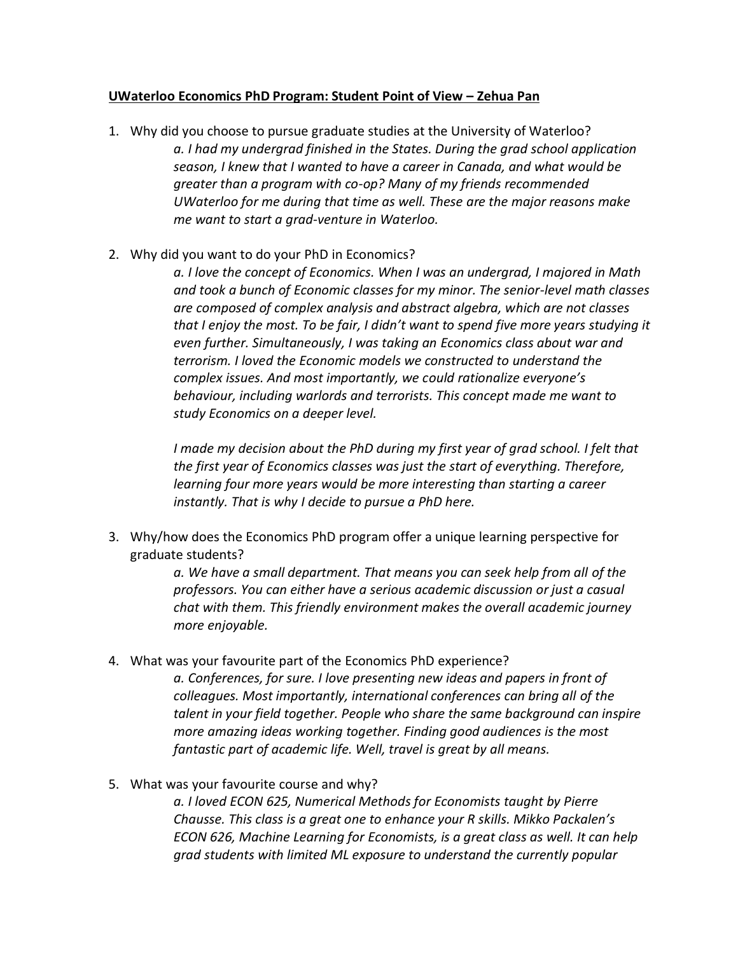## **UWaterloo Economics PhD Program: Student Point of View – Zehua Pan**

- 1. Why did you choose to pursue graduate studies at the University of Waterloo? *a. I had my undergrad finished in the States. During the grad school application season, I knew that I wanted to have a career in Canada, and what would be greater than a program with co-op? Many of my friends recommended UWaterloo for me during that time as well. These are the major reasons make me want to start a grad-venture in Waterloo.*
- 2. Why did you want to do your PhD in Economics?

*a. I love the concept of Economics. When I was an undergrad, I majored in Math and took a bunch of Economic classes for my minor. The senior-level math classes are composed of complex analysis and abstract algebra, which are not classes that I enjoy the most. To be fair, I didn't want to spend five more years studying it even further. Simultaneously, I was taking an Economics class about war and terrorism. I loved the Economic models we constructed to understand the complex issues. And most importantly, we could rationalize everyone's behaviour, including warlords and terrorists. This concept made me want to study Economics on a deeper level.*

*I made my decision about the PhD during my first year of grad school. I felt that the first year of Economics classes was just the start of everything. Therefore, learning four more years would be more interesting than starting a career instantly. That is why I decide to pursue a PhD here.*

3. Why/how does the Economics PhD program offer a unique learning perspective for graduate students?

> *a. We have a small department. That means you can seek help from all of the professors. You can either have a serious academic discussion or just a casual chat with them. This friendly environment makes the overall academic journey more enjoyable.*

4. What was your favourite part of the Economics PhD experience?

*a. Conferences, for sure. I love presenting new ideas and papers in front of colleagues. Most importantly, international conferences can bring all of the talent in your field together. People who share the same background can inspire more amazing ideas working together. Finding good audiences is the most fantastic part of academic life. Well, travel is great by all means.*

5. What was your favourite course and why?

*a. I loved ECON 625, Numerical Methods for Economists taught by Pierre Chausse. This class is a great one to enhance your R skills. Mikko Packalen's ECON 626, Machine Learning for Economists, is a great class as well. It can help grad students with limited ML exposure to understand the currently popular*